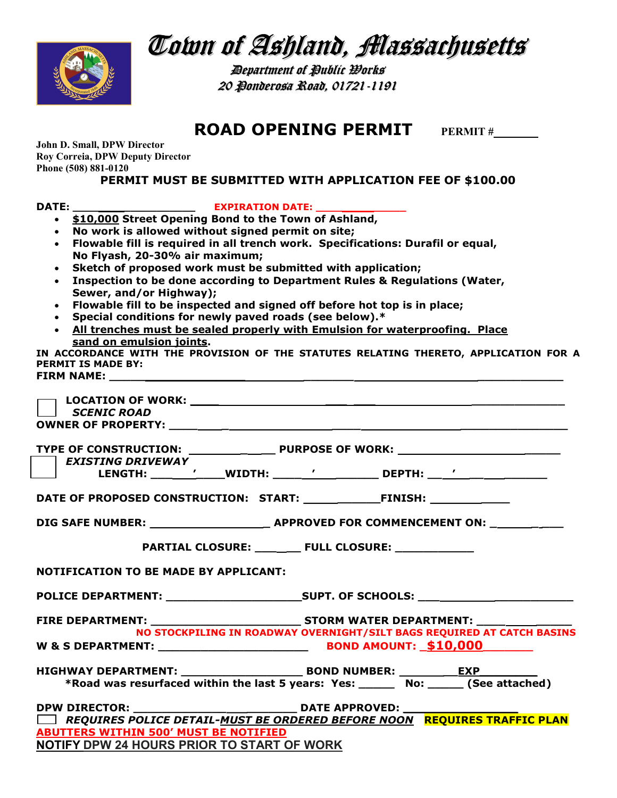

Town of Ashland, Massachusetts

**Department of Public Works** 20 Ponderosa Road, 01721-1191

ROAD OPENING PERMIT PERMIT#

John D. Small, DPW Director Roy Correia, DPW Deputy Director Phone (508) 881-0120

PERMIT MUST BE SUBMITTED WITH APPLICATION FEE OF \$100.00

| <b>DATE:</b> |                                                                                                                  |
|--------------|------------------------------------------------------------------------------------------------------------------|
|              | \$10,000 Street Opening Bond to the Town of Ashland,                                                             |
|              | No work is allowed without signed permit on site;                                                                |
|              | Flowable fill is required in all trench work. Specifications: Durafil or equal,                                  |
|              | No Flyash, 20-30% air maximum;                                                                                   |
|              | Sketch of proposed work must be submitted with application;                                                      |
| $\bullet$    | Inspection to be done according to Department Rules & Regulations (Water,                                        |
|              | Sewer, and/or Highway);                                                                                          |
|              | Flowable fill to be inspected and signed off before hot top is in place;                                         |
|              | Special conditions for newly paved roads (see below).*                                                           |
|              | . All trenches must be sealed properly with Emulsion for waterproofing. Place                                    |
|              | sand on emulsion joints.<br>IN ACCORDANCE WITH THE PROVISION OF THE STATUTES RELATING THERETO, APPLICATION FOR A |
|              | <b>PERMIT IS MADE BY:</b>                                                                                        |
|              | <b>FIRM NAME:</b>                                                                                                |
|              |                                                                                                                  |
|              |                                                                                                                  |
|              | <b>SCENIC ROAD</b>                                                                                               |
|              |                                                                                                                  |
|              |                                                                                                                  |
|              |                                                                                                                  |
|              | <b>EXISTING DRIVEWAY</b>                                                                                         |
|              |                                                                                                                  |
|              |                                                                                                                  |
|              |                                                                                                                  |
|              | DIG SAFE NUMBER: ___________________________ APPROVED FOR COMMENCEMENT ON: _________                             |
|              |                                                                                                                  |
|              | PARTIAL CLOSURE: ____ ___ FULL CLOSURE: ___________                                                              |
|              |                                                                                                                  |
|              | <b>NOTIFICATION TO BE MADE BY APPLICANT:</b>                                                                     |
|              |                                                                                                                  |
|              |                                                                                                                  |
|              | FIRE DEPARTMENT: _________                                                                                       |
|              |                                                                                                                  |
|              | <b>BOND AMOUNT: \$10,000</b><br><b>W &amp; S DEPARTMENT:</b> _________________________                           |
|              |                                                                                                                  |
|              |                                                                                                                  |
|              | *Road was resurfaced within the last 5 years: Yes: ______ No: _____ (See attached)                               |
|              |                                                                                                                  |
|              |                                                                                                                  |
|              | REQUIRES POLICE DETAIL-MUST BE ORDERED BEFORE NOON REQUIRES TRAFFIC PLAN                                         |
|              | <b>ABUTTERS WITHIN 500' MUST BE NOTIFIED</b>                                                                     |

NOTIFY DPW 24 HOURS PRIOR TO START OF WORK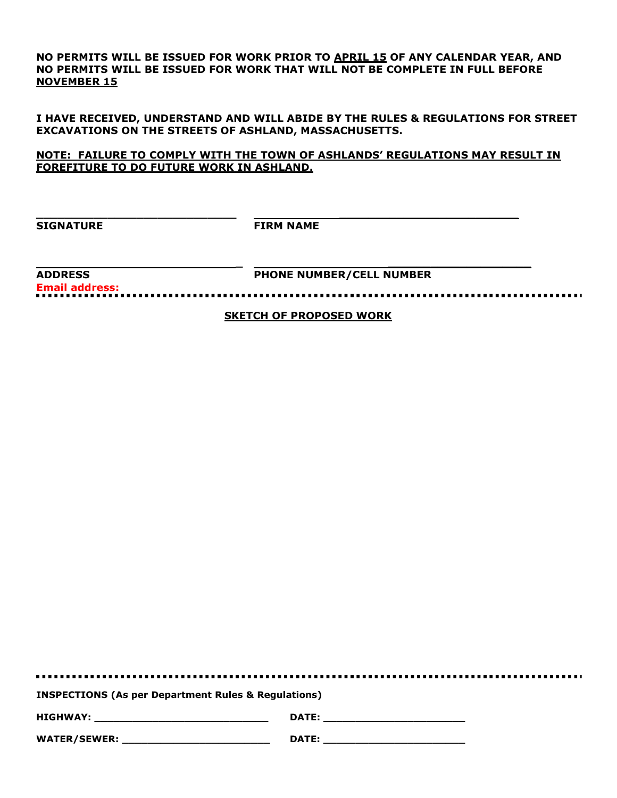NO PERMITS WILL BE ISSUED FOR WORK PRIOR TO APRIL 15 OF ANY CALENDAR YEAR, AND NO PERMITS WILL BE ISSUED FOR WORK THAT WILL NOT BE COMPLETE IN FULL BEFORE NOVEMBER 15

I HAVE RECEIVED, UNDERSTAND AND WILL ABIDE BY THE RULES & REGULATIONS FOR STREET EXCAVATIONS ON THE STREETS OF ASHLAND, MASSACHUSETTS.

NOTE: FAILURE TO COMPLY WITH THE TOWN OF ASHLANDS' REGULATIONS MAY RESULT IN FOREFITURE TO DO FUTURE WORK IN ASHLAND.

SIGNATURE **FIRM NAME** 

 $\_$  , and the set of the set of the set of the set of the set of the set of the set of the set of the set of the set of the set of the set of the set of the set of the set of the set of the set of the set of the set of th

Email address:

 \_ \_\_\_\_\_\_\_\_\_\_\_\_\_\_\_\_\_\_\_\_ ADDRESS PHONE NUMBER/CELL NUMBER

SKETCH OF PROPOSED WORK

. . . . . . . . . . . . . . . . . INSPECTIONS (As per Department Rules & Regulations) HIGHWAY: \_\_\_\_\_\_\_\_\_\_\_\_\_\_\_\_\_\_\_\_\_\_\_\_\_\_\_ DATE: \_\_\_\_\_\_\_\_\_\_\_\_\_\_\_\_\_\_\_\_\_\_ WATER/SEWER: \_\_\_\_\_\_\_\_\_\_\_\_\_\_\_\_\_\_\_\_\_\_\_ DATE: \_\_\_\_\_\_\_\_\_\_\_\_\_\_\_\_\_\_\_\_\_\_